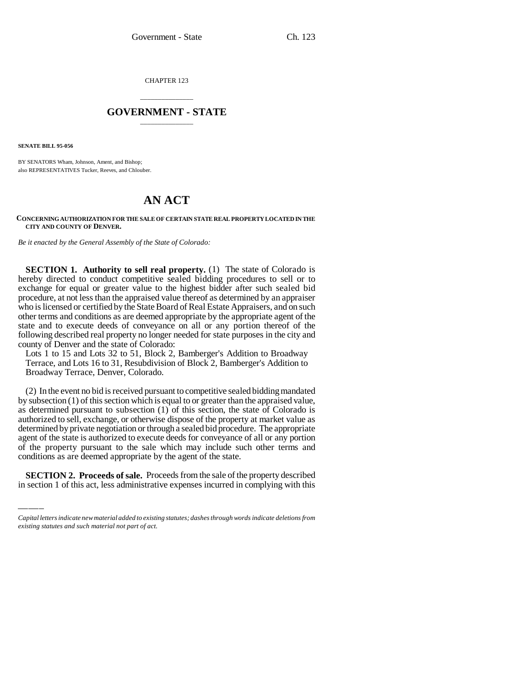CHAPTER 123

## \_\_\_\_\_\_\_\_\_\_\_\_\_\_\_ **GOVERNMENT - STATE** \_\_\_\_\_\_\_\_\_\_\_\_\_\_\_

**SENATE BILL 95-056**

BY SENATORS Wham, Johnson, Ament, and Bishop; also REPRESENTATIVES Tucker, Reeves, and Chlouber.

## **AN ACT**

## **CONCERNING AUTHORIZATION FOR THE SALE OF CERTAIN STATE REAL PROPERTY LOCATED IN THE CITY AND COUNTY OF DENVER.**

*Be it enacted by the General Assembly of the State of Colorado:*

**SECTION 1. Authority to sell real property.** (1) The state of Colorado is hereby directed to conduct competitive sealed bidding procedures to sell or to exchange for equal or greater value to the highest bidder after such sealed bid procedure, at not less than the appraised value thereof as determined by an appraiser who is licensed or certified by the State Board of Real Estate Appraisers, and on such other terms and conditions as are deemed appropriate by the appropriate agent of the state and to execute deeds of conveyance on all or any portion thereof of the following described real property no longer needed for state purposes in the city and county of Denver and the state of Colorado:

Lots 1 to 15 and Lots 32 to 51, Block 2, Bamberger's Addition to Broadway Terrace, and Lots 16 to 31, Resubdivision of Block 2, Bamberger's Addition to Broadway Terrace, Denver, Colorado.

of the property pursuant to the sale which may include such other terms and of the property pursuant to the sale which may include such other terms and (2) In the event no bid is received pursuant to competitive sealed bidding mandated by subsection (1) of this section which is equal to or greater than the appraised value, as determined pursuant to subsection (1) of this section, the state of Colorado is authorized to sell, exchange, or otherwise dispose of the property at market value as determined by private negotiation or through a sealed bid procedure. The appropriate agent of the state is authorized to execute deeds for conveyance of all or any portion conditions as are deemed appropriate by the agent of the state.

**SECTION 2. Proceeds of sale.** Proceeds from the sale of the property described in section 1 of this act, less administrative expenses incurred in complying with this

*Capital letters indicate new material added to existing statutes; dashes through words indicate deletions from existing statutes and such material not part of act.*